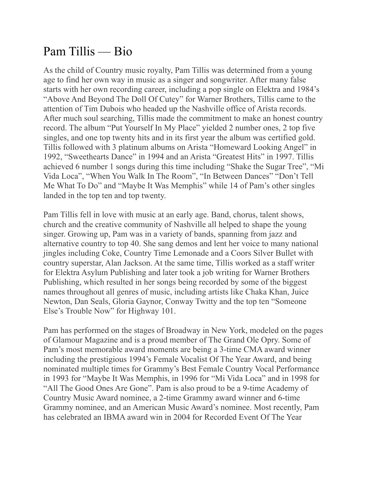## Pam Tillis — Bio

As the child of Country music royalty, Pam Tillis was determined from a young age to find her own way in music as a singer and songwriter. After many false starts with her own recording career, including a pop single on Elektra and 1984's "Above And Beyond The Doll Of Cutey" for Warner Brothers, Tillis came to the attention of Tim Dubois who headed up the Nashville office of Arista records. After much soul searching, Tillis made the commitment to make an honest country record. The album "Put Yourself In My Place" yielded 2 number ones, 2 top five singles, and one top twenty hits and in its first year the album was certified gold. Tillis followed with 3 platinum albums on Arista "Homeward Looking Angel" in 1992, "Sweethearts Dance" in 1994 and an Arista "Greatest Hits" in 1997. Tillis achieved 6 number 1 songs during this time including "Shake the Sugar Tree", "Mi Vida Loca", "When You Walk In The Room", "In Between Dances" "Don't Tell Me What To Do" and "Maybe It Was Memphis" while 14 of Pam's other singles landed in the top ten and top twenty.

Pam Tillis fell in love with music at an early age. Band, chorus, talent shows, church and the creative community of Nashville all helped to shape the young singer. Growing up, Pam was in a variety of bands, spanning from jazz and alternative country to top 40. She sang demos and lent her voice to many national jingles including Coke, Country Time Lemonade and a Coors Silver Bullet with country superstar, Alan Jackson. At the same time, Tillis worked as a staff writer for Elektra Asylum Publishing and later took a job writing for Warner Brothers Publishing, which resulted in her songs being recorded by some of the biggest names throughout all genres of music, including artists like Chaka Khan, Juice Newton, Dan Seals, Gloria Gaynor, Conway Twitty and the top ten "Someone Else's Trouble Now" for Highway 101.

Pam has performed on the stages of Broadway in New York, modeled on the pages of Glamour Magazine and is a proud member of The Grand Ole Opry. Some of Pam's most memorable award moments are being a 3-time CMA award winner including the prestigious 1994's Female Vocalist Of The Year Award, and being nominated multiple times for Grammy's Best Female Country Vocal Performance in 1993 for "Maybe It Was Memphis, in 1996 for "Mi Vida Loca" and in 1998 for "All The Good Ones Are Gone". Pam is also proud to be a 9-time Academy of Country Music Award nominee, a 2-time Grammy award winner and 6-time Grammy nominee, and an American Music Award's nominee. Most recently, Pam has celebrated an IBMA award win in 2004 for Recorded Event Of The Year